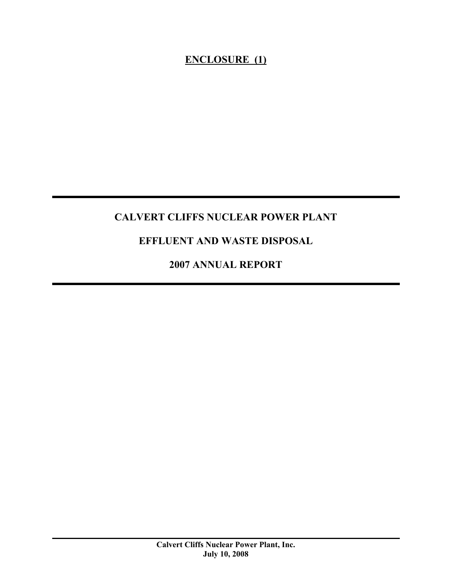### **ENCLOSURE (1)**

### **CALVERT CLIFFS NUCLEAR POWER PLANT**

### **EFFLUENT AND WASTE DISPOSAL**

**2007 ANNUAL REPORT**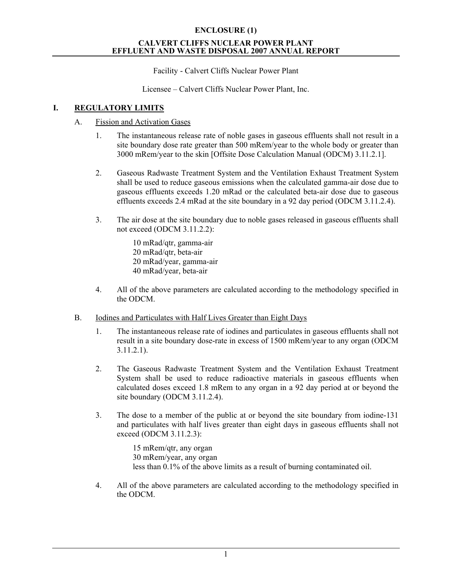Facility - Calvert Cliffs Nuclear Power Plant

Licensee – Calvert Cliffs Nuclear Power Plant, Inc.

### **I. REGULATORY LIMITS**

### A. Fission and Activation Gases

- 1. The instantaneous release rate of noble gases in gaseous effluents shall not result in a site boundary dose rate greater than 500 mRem/year to the whole body or greater than 3000 mRem/year to the skin [Offsite Dose Calculation Manual (ODCM) 3.11.2.1].
- 2. Gaseous Radwaste Treatment System and the Ventilation Exhaust Treatment System shall be used to reduce gaseous emissions when the calculated gamma-air dose due to gaseous effluents exceeds 1.20 mRad or the calculated beta-air dose due to gaseous effluents exceeds 2.4 mRad at the site boundary in a 92 day period (ODCM 3.11.2.4).
- 3. The air dose at the site boundary due to noble gases released in gaseous effluents shall not exceed (ODCM 3.11.2.2):

10 mRad/qtr, gamma-air 20 mRad/qtr, beta-air 20 mRad/year, gamma-air 40 mRad/year, beta-air

- 4. All of the above parameters are calculated according to the methodology specified in the ODCM.
- B. Iodines and Particulates with Half Lives Greater than Eight Days
	- 1. The instantaneous release rate of iodines and particulates in gaseous effluents shall not result in a site boundary dose-rate in excess of 1500 mRem/year to any organ (ODCM 3.11.2.1).
	- 2. The Gaseous Radwaste Treatment System and the Ventilation Exhaust Treatment System shall be used to reduce radioactive materials in gaseous effluents when calculated doses exceed 1.8 mRem to any organ in a 92 day period at or beyond the site boundary (ODCM 3.11.2.4).
	- 3. The dose to a member of the public at or beyond the site boundary from iodine-131 and particulates with half lives greater than eight days in gaseous effluents shall not exceed (ODCM 3.11.2.3):

15 mRem/qtr, any organ 30 mRem/year, any organ less than 0.1% of the above limits as a result of burning contaminated oil.

4. All of the above parameters are calculated according to the methodology specified in the ODCM.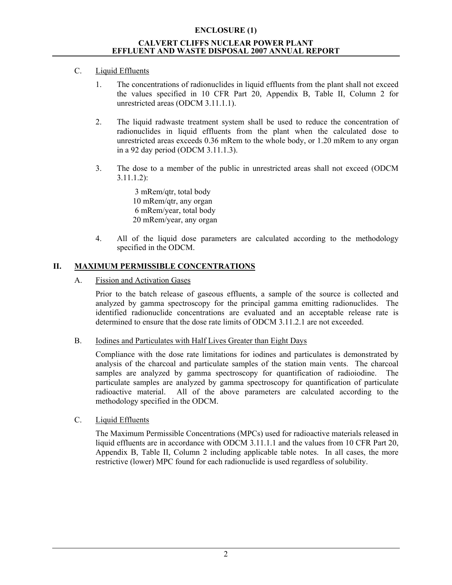### C. Liquid Effluents

- 1. The concentrations of radionuclides in liquid effluents from the plant shall not exceed the values specified in 10 CFR Part 20, Appendix B, Table II, Column 2 for unrestricted areas (ODCM 3.11.1.1).
- 2. The liquid radwaste treatment system shall be used to reduce the concentration of radionuclides in liquid effluents from the plant when the calculated dose to unrestricted areas exceeds 0.36 mRem to the whole body, or 1.20 mRem to any organ in a 92 day period (ODCM 3.11.1.3).
- 3. The dose to a member of the public in unrestricted areas shall not exceed (ODCM 3.11.1.2):

 3 mRem/qtr, total body 10 mRem/qtr, any organ 6 mRem/year, total body 20 mRem/year, any organ

4. All of the liquid dose parameters are calculated according to the methodology specified in the ODCM.

### **II. MAXIMUM PERMISSIBLE CONCENTRATIONS**

A. Fission and Activation Gases

Prior to the batch release of gaseous effluents, a sample of the source is collected and analyzed by gamma spectroscopy for the principal gamma emitting radionuclides. The identified radionuclide concentrations are evaluated and an acceptable release rate is determined to ensure that the dose rate limits of ODCM 3.11.2.1 are not exceeded.

B. Iodines and Particulates with Half Lives Greater than Eight Days

Compliance with the dose rate limitations for iodines and particulates is demonstrated by analysis of the charcoal and particulate samples of the station main vents. The charcoal samples are analyzed by gamma spectroscopy for quantification of radioiodine. The particulate samples are analyzed by gamma spectroscopy for quantification of particulate radioactive material. All of the above parameters are calculated according to the methodology specified in the ODCM.

C. Liquid Effluents

The Maximum Permissible Concentrations (MPCs) used for radioactive materials released in liquid effluents are in accordance with ODCM 3.11.1.1 and the values from 10 CFR Part 20, Appendix B, Table II, Column 2 including applicable table notes. In all cases, the more restrictive (lower) MPC found for each radionuclide is used regardless of solubility.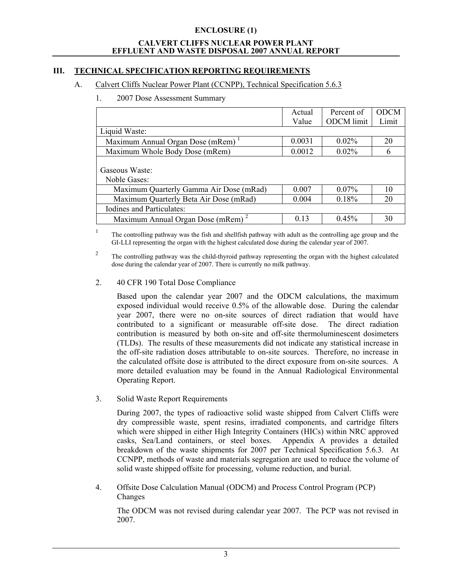### **III. TECHNICAL SPECIFICATION REPORTING REQUIREMENTS**

### A. Calvert Cliffs Nuclear Power Plant (CCNPP), Technical Specification 5.6.3

### 1. 2007 Dose Assessment Summary

|                                               | Actual | Percent of        | <b>ODCM</b> |
|-----------------------------------------------|--------|-------------------|-------------|
|                                               | Value  | <b>ODCM</b> limit | Limit       |
| Liquid Waste:                                 |        |                   |             |
| Maximum Annual Organ Dose (mRem) <sup>1</sup> | 0.0031 | $0.02\%$          | 20          |
| Maximum Whole Body Dose (mRem)                | 0.0012 | 0.02%             | 6           |
| Gaseous Waste:<br>Noble Gases:                |        |                   |             |
| Maximum Quarterly Gamma Air Dose (mRad)       | 0.007  | $0.07\%$          | 10          |
| Maximum Quarterly Beta Air Dose (mRad)        | 0.004  | 0.18%             | 20          |
| Iodines and Particulates:                     |        |                   |             |
| Maximum Annual Organ Dose (mRem) <sup>2</sup> | 0.13   | 0.45%             | 30          |

1 The controlling pathway was the fish and shellfish pathway with adult as the controlling age group and the GI-LLI representing the organ with the highest calculated dose during the calendar year of 2007.

2 The controlling pathway was the child-thyroid pathway representing the organ with the highest calculated dose during the calendar year of 2007. There is currently no milk pathway.

### 2. 40 CFR 190 Total Dose Compliance

Based upon the calendar year 2007 and the ODCM calculations, the maximum exposed individual would receive 0.5% of the allowable dose. During the calendar year 2007, there were no on-site sources of direct radiation that would have contributed to a significant or measurable off-site dose. The direct radiation contribution is measured by both on-site and off-site thermoluminescent dosimeters (TLDs). The results of these measurements did not indicate any statistical increase in the off-site radiation doses attributable to on-site sources. Therefore, no increase in the calculated offsite dose is attributed to the direct exposure from on-site sources. A more detailed evaluation may be found in the Annual Radiological Environmental Operating Report.

3. Solid Waste Report Requirements

During 2007, the types of radioactive solid waste shipped from Calvert Cliffs were dry compressible waste, spent resins, irradiated components, and cartridge filters which were shipped in either High Integrity Containers (HICs) within NRC approved casks, Sea/Land containers, or steel boxes. Appendix A provides a detailed breakdown of the waste shipments for 2007 per Technical Specification 5.6.3. At CCNPP, methods of waste and materials segregation are used to reduce the volume of solid waste shipped offsite for processing, volume reduction, and burial.

4. Offsite Dose Calculation Manual (ODCM) and Process Control Program (PCP) Changes

The ODCM was not revised during calendar year 2007. The PCP was not revised in 2007.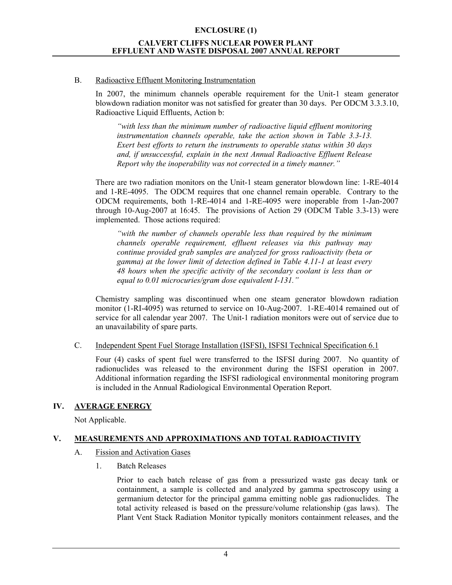### B. Radioactive Effluent Monitoring Instrumentation

In 2007, the minimum channels operable requirement for the Unit-1 steam generator blowdown radiation monitor was not satisfied for greater than 30 days. Per ODCM 3.3.3.10, Radioactive Liquid Effluents, Action b:

*"with less than the minimum number of radioactive liquid effluent monitoring instrumentation channels operable, take the action shown in Table 3.3-13. Exert best efforts to return the instruments to operable status within 30 days and, if unsuccessful, explain in the next Annual Radioactive Effluent Release Report why the inoperability was not corrected in a timely manner."* 

There are two radiation monitors on the Unit-1 steam generator blowdown line: 1-RE-4014 and 1-RE-4095. The ODCM requires that one channel remain operable. Contrary to the ODCM requirements, both 1-RE-4014 and 1-RE-4095 were inoperable from 1-Jan-2007 through 10-Aug-2007 at 16:45. The provisions of Action 29 (ODCM Table 3.3-13) were implemented. Those actions required:

*"with the number of channels operable less than required by the minimum channels operable requirement, effluent releases via this pathway may continue provided grab samples are analyzed for gross radioactivity (beta or gamma) at the lower limit of detection defined in Table 4.11-1 at least every 48 hours when the specific activity of the secondary coolant is less than or equal to 0.01 microcuries/gram dose equivalent I-131."* 

Chemistry sampling was discontinued when one steam generator blowdown radiation monitor (1-RI-4095) was returned to service on 10-Aug-2007. 1-RE-4014 remained out of service for all calendar year 2007. The Unit-1 radiation monitors were out of service due to an unavailability of spare parts.

### C. Independent Spent Fuel Storage Installation (ISFSI), ISFSI Technical Specification 6.1

Four (4) casks of spent fuel were transferred to the ISFSI during 2007. No quantity of radionuclides was released to the environment during the ISFSI operation in 2007. Additional information regarding the ISFSI radiological environmental monitoring program is included in the Annual Radiological Environmental Operation Report.

### **IV. AVERAGE ENERGY**

Not Applicable.

### **V. MEASUREMENTS AND APPROXIMATIONS AND TOTAL RADIOACTIVITY**

- A. Fission and Activation Gases
	- 1. Batch Releases

Prior to each batch release of gas from a pressurized waste gas decay tank or containment, a sample is collected and analyzed by gamma spectroscopy using a germanium detector for the principal gamma emitting noble gas radionuclides. The total activity released is based on the pressure/volume relationship (gas laws). The Plant Vent Stack Radiation Monitor typically monitors containment releases, and the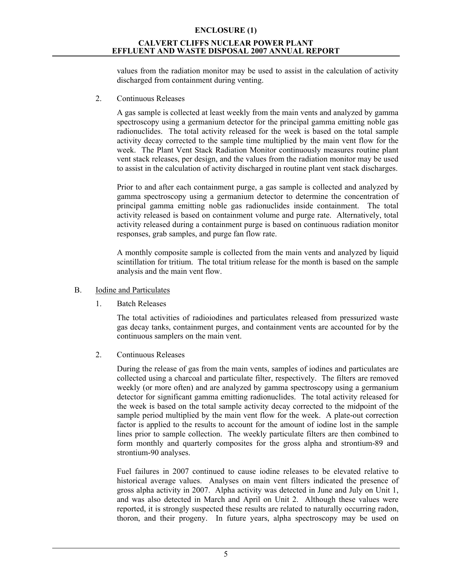### **ENCLOSURE (1) CALVERT CLIFFS NUCLEAR POWER PLANT**

### **EFFLUENT AND WASTE DISPOSAL 2007 ANNUAL REPORT**

values from the radiation monitor may be used to assist in the calculation of activity discharged from containment during venting.

2. Continuous Releases

A gas sample is collected at least weekly from the main vents and analyzed by gamma spectroscopy using a germanium detector for the principal gamma emitting noble gas radionuclides. The total activity released for the week is based on the total sample activity decay corrected to the sample time multiplied by the main vent flow for the week. The Plant Vent Stack Radiation Monitor continuously measures routine plant vent stack releases, per design, and the values from the radiation monitor may be used to assist in the calculation of activity discharged in routine plant vent stack discharges.

Prior to and after each containment purge, a gas sample is collected and analyzed by gamma spectroscopy using a germanium detector to determine the concentration of principal gamma emitting noble gas radionuclides inside containment. The total activity released is based on containment volume and purge rate. Alternatively, total activity released during a containment purge is based on continuous radiation monitor responses, grab samples, and purge fan flow rate.

A monthly composite sample is collected from the main vents and analyzed by liquid scintillation for tritium. The total tritium release for the month is based on the sample analysis and the main vent flow.

### B. Iodine and Particulates

1. Batch Releases

The total activities of radioiodines and particulates released from pressurized waste gas decay tanks, containment purges, and containment vents are accounted for by the continuous samplers on the main vent.

2. Continuous Releases

During the release of gas from the main vents, samples of iodines and particulates are collected using a charcoal and particulate filter, respectively. The filters are removed weekly (or more often) and are analyzed by gamma spectroscopy using a germanium detector for significant gamma emitting radionuclides. The total activity released for the week is based on the total sample activity decay corrected to the midpoint of the sample period multiplied by the main vent flow for the week. A plate-out correction factor is applied to the results to account for the amount of iodine lost in the sample lines prior to sample collection. The weekly particulate filters are then combined to form monthly and quarterly composites for the gross alpha and strontium-89 and strontium-90 analyses.

Fuel failures in 2007 continued to cause iodine releases to be elevated relative to historical average values. Analyses on main vent filters indicated the presence of gross alpha activity in 2007. Alpha activity was detected in June and July on Unit 1, and was also detected in March and April on Unit 2. Although these values were reported, it is strongly suspected these results are related to naturally occurring radon, thoron, and their progeny. In future years, alpha spectroscopy may be used on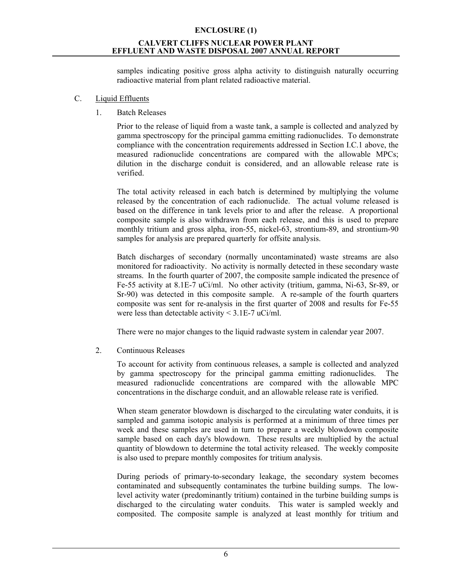samples indicating positive gross alpha activity to distinguish naturally occurring radioactive material from plant related radioactive material.

### C. Liquid Effluents

1. Batch Releases

Prior to the release of liquid from a waste tank, a sample is collected and analyzed by gamma spectroscopy for the principal gamma emitting radionuclides. To demonstrate compliance with the concentration requirements addressed in Section I.C.1 above, the measured radionuclide concentrations are compared with the allowable MPCs; dilution in the discharge conduit is considered, and an allowable release rate is verified.

The total activity released in each batch is determined by multiplying the volume released by the concentration of each radionuclide. The actual volume released is based on the difference in tank levels prior to and after the release. A proportional composite sample is also withdrawn from each release, and this is used to prepare monthly tritium and gross alpha, iron-55, nickel-63, strontium-89, and strontium-90 samples for analysis are prepared quarterly for offsite analysis.

Batch discharges of secondary (normally uncontaminated) waste streams are also monitored for radioactivity. No activity is normally detected in these secondary waste streams. In the fourth quarter of 2007, the composite sample indicated the presence of Fe-55 activity at 8.1E-7 uCi/ml. No other activity (tritium, gamma, Ni-63, Sr-89, or Sr-90) was detected in this composite sample. A re-sample of the fourth quarters composite was sent for re-analysis in the first quarter of 2008 and results for Fe-55 were less than detectable activity  $\leq$  3.1E-7 uCi/ml.

There were no major changes to the liquid radwaste system in calendar year 2007.

2. Continuous Releases

To account for activity from continuous releases, a sample is collected and analyzed by gamma spectroscopy for the principal gamma emitting radionuclides. The measured radionuclide concentrations are compared with the allowable MPC concentrations in the discharge conduit, and an allowable release rate is verified.

When steam generator blowdown is discharged to the circulating water conduits, it is sampled and gamma isotopic analysis is performed at a minimum of three times per week and these samples are used in turn to prepare a weekly blowdown composite sample based on each day's blowdown. These results are multiplied by the actual quantity of blowdown to determine the total activity released. The weekly composite is also used to prepare monthly composites for tritium analysis.

During periods of primary-to-secondary leakage, the secondary system becomes contaminated and subsequently contaminates the turbine building sumps. The lowlevel activity water (predominantly tritium) contained in the turbine building sumps is discharged to the circulating water conduits. This water is sampled weekly and composited. The composite sample is analyzed at least monthly for tritium and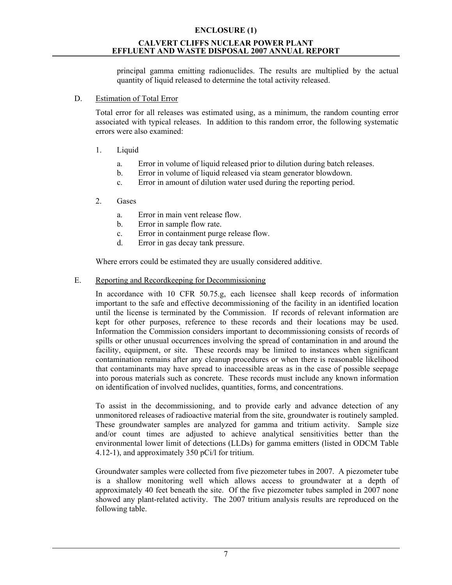principal gamma emitting radionuclides. The results are multiplied by the actual quantity of liquid released to determine the total activity released.

### D. Estimation of Total Error

Total error for all releases was estimated using, as a minimum, the random counting error associated with typical releases. In addition to this random error, the following systematic errors were also examined:

### 1. Liquid

- a. Error in volume of liquid released prior to dilution during batch releases.
- b. Error in volume of liquid released via steam generator blowdown.
- c. Error in amount of dilution water used during the reporting period.

### 2. Gases

- a. Error in main vent release flow.
- b. Error in sample flow rate.
- c. Error in containment purge release flow.
- d. Error in gas decay tank pressure.

Where errors could be estimated they are usually considered additive.

### E. Reporting and Recordkeeping for Decommissioning

In accordance with 10 CFR 50.75.g, each licensee shall keep records of information important to the safe and effective decommissioning of the facility in an identified location until the license is terminated by the Commission. If records of relevant information are kept for other purposes, reference to these records and their locations may be used. Information the Commission considers important to decommissioning consists of records of spills or other unusual occurrences involving the spread of contamination in and around the facility, equipment, or site. These records may be limited to instances when significant contamination remains after any cleanup procedures or when there is reasonable likelihood that contaminants may have spread to inaccessible areas as in the case of possible seepage into porous materials such as concrete. These records must include any known information on identification of involved nuclides, quantities, forms, and concentrations.

To assist in the decommissioning, and to provide early and advance detection of any unmonitored releases of radioactive material from the site, groundwater is routinely sampled. These groundwater samples are analyzed for gamma and tritium activity. Sample size and/or count times are adjusted to achieve analytical sensitivities better than the environmental lower limit of detections (LLDs) for gamma emitters (listed in ODCM Table 4.12-1), and approximately 350 pCi/l for tritium.

Groundwater samples were collected from five piezometer tubes in 2007. A piezometer tube is a shallow monitoring well which allows access to groundwater at a depth of approximately 40 feet beneath the site. Of the five piezometer tubes sampled in 2007 none showed any plant-related activity. The 2007 tritium analysis results are reproduced on the following table.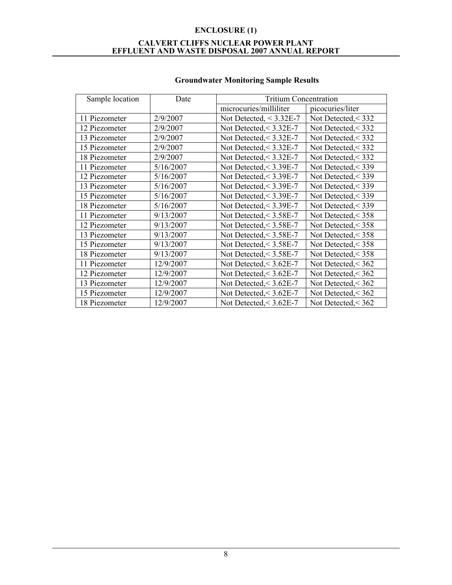| Sample location | Date      | <b>Tritium Concentration</b> |                       |
|-----------------|-----------|------------------------------|-----------------------|
|                 |           | microcuries/milliliter       | picocuries/liter      |
| 11 Piezometer   | 2/9/2007  | Not Detected, $<$ 3.32E-7    | Not Detected, $<$ 332 |
| 12 Piezometer   | 2/9/2007  | Not Detected, $<$ 3.32E-7    | Not Detected, < 332   |
| 13 Piezometer   | 2/9/2007  | Not Detected, $<$ 3.32E-7    | Not Detected, $<$ 332 |
| 15 Piezometer   | 2/9/2007  | Not Detected, $<$ 3.32E-7    | Not Detected, $<$ 332 |
| 18 Piezometer   | 2/9/2007  | Not Detected, $<$ 3.32E-7    | Not Detected, $<$ 332 |
| 11 Piezometer   | 5/16/2007 | Not Detected, $<$ 3.39E-7    | Not Detected, < 339   |
| 12 Piezometer   | 5/16/2007 | Not Detected, $<$ 3.39E-7    | Not Detected, < 339   |
| 13 Piezometer   | 5/16/2007 | Not Detected, $<$ 3.39E-7    | Not Detected, < 339   |
| 15 Piezometer   | 5/16/2007 | Not Detected, $<$ 3.39E-7    | Not Detected, < 339   |
| 18 Piezometer   | 5/16/2007 | Not Detected, $<$ 3.39E-7    | Not Detected, < 339   |
| 11 Piezometer   | 9/13/2007 | Not Detected, $<$ 3.58E-7    | Not Detected, $<$ 358 |
| 12 Piezometer   | 9/13/2007 | Not Detected, $<$ 3.58E-7    | Not Detected, $<$ 358 |
| 13 Piezometer   | 9/13/2007 | Not Detected, $<$ 3.58E-7    | Not Detected, $<$ 358 |
| 15 Piezometer   | 9/13/2007 | Not Detected, < 3.58E-7      | Not Detected, $<$ 358 |
| 18 Piezometer   | 9/13/2007 | Not Detected, $<$ 3.58E-7    | Not Detected, $<$ 358 |
| 11 Piezometer   | 12/9/2007 | Not Detected, $<$ 3.62E-7    | Not Detected, $<$ 362 |
| 12 Piezometer   | 12/9/2007 | Not Detected, $<$ 3.62E-7    | Not Detected, $<$ 362 |
| 13 Piezometer   | 12/9/2007 | Not Detected, $<$ 3.62E-7    | Not Detected, < 362   |
| 15 Piezometer   | 12/9/2007 | Not Detected, $<$ 3.62E-7    | Not Detected, $<$ 362 |
| 18 Piezometer   | 12/9/2007 | Not Detected, $<$ 3.62E-7    | Not Detected, $<$ 362 |

### **Groundwater Monitoring Sample Results**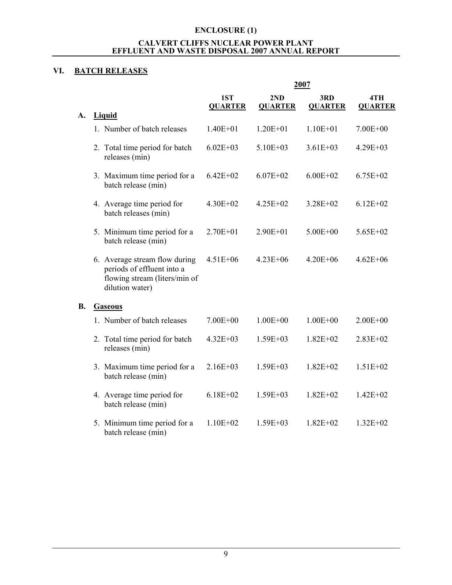### **VI. BATCH RELEASES**

|    |                                                                                                                 |                       |                       | 2007                  |                       |
|----|-----------------------------------------------------------------------------------------------------------------|-----------------------|-----------------------|-----------------------|-----------------------|
|    |                                                                                                                 | 1ST<br><b>QUARTER</b> | 2ND<br><b>QUARTER</b> | 3RD<br><b>QUARTER</b> | 4TH<br><b>QUARTER</b> |
| A. | <b>Liquid</b>                                                                                                   |                       |                       |                       |                       |
|    | 1. Number of batch releases                                                                                     | $1.40E + 01$          | $1.20E + 01$          | $1.10E + 01$          | $7.00E + 00$          |
|    | 2. Total time period for batch<br>releases (min)                                                                | $6.02E + 03$          | $5.10E + 03$          | $3.61E + 03$          | $4.29E + 03$          |
|    | 3. Maximum time period for a<br>batch release (min)                                                             | $6.42E + 02$          | $6.07E + 02$          | $6.00E + 02$          | $6.75E + 02$          |
|    | 4. Average time period for<br>batch releases (min)                                                              | $4.30E + 02$          | $4.25E + 02$          | $3.28E + 02$          | $6.12E + 02$          |
|    | 5. Minimum time period for a<br>batch release (min)                                                             | $2.70E + 01$          | $2.90E + 01$          | $5.00E + 00$          | $5.65E + 02$          |
|    | 6. Average stream flow during<br>periods of effluent into a<br>flowing stream (liters/min of<br>dilution water) | $4.51E + 06$          | $4.23E + 06$          | $4.20E + 06$          | $4.62E + 06$          |
| В. | <b>Gaseous</b>                                                                                                  |                       |                       |                       |                       |
|    | 1. Number of batch releases                                                                                     | $7.00E + 00$          | $1.00E + 00$          | $1.00E + 00$          | $2.00E + 00$          |
|    | 2. Total time period for batch<br>releases (min)                                                                | $4.32E + 03$          | $1.59E + 03$          | $1.82E + 02$          | 2.83E+02              |
|    | 3. Maximum time period for a<br>batch release (min)                                                             | $2.16E + 03$          | $1.59E + 03$          | $1.82E + 02$          | $1.51E + 02$          |
|    | 4. Average time period for<br>batch release (min)                                                               | $6.18E + 02$          | $1.59E + 03$          | $1.82E + 02$          | $1.42E + 02$          |
|    | 5. Minimum time period for a<br>batch release (min)                                                             | $1.10E + 02$          | $1.59E + 03$          | $1.82E + 02$          | $1.32E + 02$          |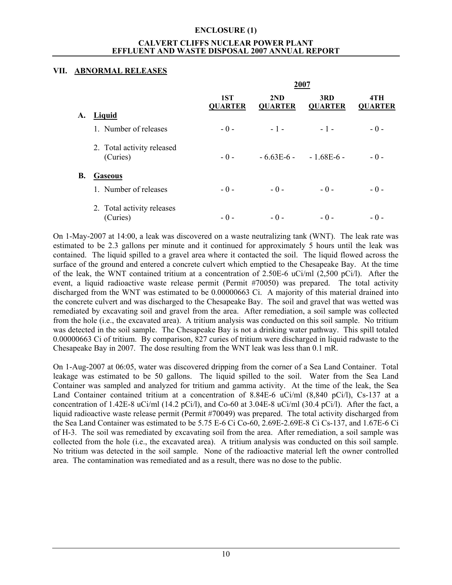### **VII. ABNORMAL RELEASES**

|           |                            |                       |                       | 2007                  |                       |
|-----------|----------------------------|-----------------------|-----------------------|-----------------------|-----------------------|
|           |                            | 1ST<br><b>QUARTER</b> | 2ND<br><b>QUARTER</b> | 3RD<br><b>QUARTER</b> | 4TH<br><b>QUARTER</b> |
| A.        | Liquid                     |                       |                       |                       |                       |
|           | 1. Number of releases      | $-0-$                 | $-1-$                 | $-1-$                 | $-0-$                 |
|           | 2. Total activity released |                       |                       |                       |                       |
|           | (Curies)                   | $-0-$                 | $-663E-6$             | $-168E-6$             | $-0-$                 |
| <b>B.</b> | <b>Gaseous</b>             |                       |                       |                       |                       |
|           | 1. Number of releases      | $-0-$                 | $-0-$                 | $-0-$                 | $-0-$                 |
|           | 2. Total activity releases |                       |                       |                       |                       |
|           | (Curies)                   | $-0-$                 | $-0-$                 | $-0-$                 | - () -                |

On 1-May-2007 at 14:00, a leak was discovered on a waste neutralizing tank (WNT). The leak rate was estimated to be 2.3 gallons per minute and it continued for approximately 5 hours until the leak was contained. The liquid spilled to a gravel area where it contacted the soil. The liquid flowed across the surface of the ground and entered a concrete culvert which emptied to the Chesapeake Bay. At the time of the leak, the WNT contained tritium at a concentration of 2.50E-6 uCi/ml (2,500 pCi/l). After the event, a liquid radioactive waste release permit (Permit #70050) was prepared. The total activity discharged from the WNT was estimated to be 0.00000663 Ci. A majority of this material drained into the concrete culvert and was discharged to the Chesapeake Bay. The soil and gravel that was wetted was remediated by excavating soil and gravel from the area. After remediation, a soil sample was collected from the hole (i.e., the excavated area). A tritium analysis was conducted on this soil sample. No tritium was detected in the soil sample. The Chesapeake Bay is not a drinking water pathway. This spill totaled 0.00000663 Ci of tritium. By comparison, 827 curies of tritium were discharged in liquid radwaste to the Chesapeake Bay in 2007. The dose resulting from the WNT leak was less than 0.1 mR.

On 1-Aug-2007 at 06:05, water was discovered dripping from the corner of a Sea Land Container. Total leakage was estimated to be 50 gallons. The liquid spilled to the soil. Water from the Sea Land Container was sampled and analyzed for tritium and gamma activity. At the time of the leak, the Sea Land Container contained tritium at a concentration of 8.84E-6 uCi/ml (8,840 pCi/l), Cs-137 at a concentration of 1.42E-8 uCi/ml (14.2 pCi/l), and Co-60 at 3.04E-8 uCi/ml (30.4 pCi/l). After the fact, a liquid radioactive waste release permit (Permit #70049) was prepared. The total activity discharged from the Sea Land Container was estimated to be 5.75 E-6 Ci Co-60, 2.69E-2.69E-8 Ci Cs-137, and 1.67E-6 Ci of H-3. The soil was remediated by excavating soil from the area. After remediation, a soil sample was collected from the hole (i.e., the excavated area). A tritium analysis was conducted on this soil sample. No tritium was detected in the soil sample. None of the radioactive material left the owner controlled area. The contamination was remediated and as a result, there was no dose to the public.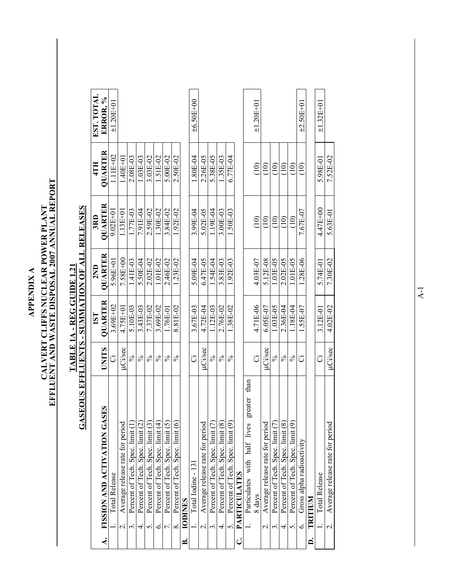**APPENDIX A APPENDIX A** 

# CALVERT CLIFFS NUCLEAR POWER PLANT<br>EFFLUENT AND WASTE DISPOSAL 2007 ANNUAL REPORT **EFFLUENT AND WASTE DISPOSAL 2007 ANNUAL REPORT CALVERT CLIFFS NUCLEAR POWER PLANT**

## **GASEOUS EFFLUENTS - SUMMATION OF ALL RELEASES GASEOUS EFFLUENTS - SUMMATION OF ALL RELEASES** TABLE 1A - REG GUIDE 1.21 **TABLE 1A - REG GUIDE 1.21**

|                    |                                                         |                | 1ST          | 2ND          | 3RD               | 4TH             | EST. TOTAL        |
|--------------------|---------------------------------------------------------|----------------|--------------|--------------|-------------------|-----------------|-------------------|
| $\dot{\mathbf{z}}$ | FISSION AND ACTIVATION GASES                            | <b>CILINI</b>  | QUARTER      | QUARTER      | QUARTER           | QUARTER         | ERROR, %          |
|                    | Total Release                                           | J              | 3.69E+02     | $5.96E + 01$ | $9.02E + 01$      | $1.11E+02$      | $\pm 1.20E + 0.1$ |
|                    | Average release rate for period                         | uCi/sec        | 4.75E+01     | 7.58E+00     | $1.13E+01$        | $1.40E + 01$    |                   |
|                    | Percent of Tech. Spec. limit (1)                        | $\%$           | 5.10E-03     | 1.41E-03     | 1.77E-03          | 2.08E-03        |                   |
|                    | Percent of Tech. Spec. limit (2)                        | $\%$           | 3.43E-03     | 5.50E-04     | $7.91E-04$        | 1.03E-03        |                   |
|                    | Percent of Tech. Spec. limit (3)<br>S.                  | $\frac{5}{6}$  | 7.37E-02     | $2.02E - 02$ | 2.59E-02          | 3.03E-02        |                   |
|                    | Percent of Tech. Spec. limit (4)<br>Ġ                   | $\frac{5}{6}$  | 3.69E-02     | 1.01E-02     | 1.30E-02          | 1.51E-02        |                   |
|                    | Percent of Tech. Spec. limit (5)<br>$\overline{\tau}$ . | $\frac{5}{6}$  | L76E-01      | 2.46E-02     | 3.84E-02          | 5.00E-02        |                   |
|                    | Percent of Tech. Spec. limit (6)<br>$\infty$            | $\frac{5}{6}$  | 8.81E-02     | $1.23E-02$   | 1.92E-02          | 2.50E-02        |                   |
| ≃                  | <b>IODINES</b>                                          |                |              |              |                   |                 |                   |
|                    | Total Iodine - 131                                      | ö              | 3.67E-03     | 5.09E-04     | 3.99E-04          | 1.80E-04        | $±6.50E+00$       |
|                    | Average release rate for period                         | µCi/sec        | 4.72E-04     | 6.47E-05     | 5.02E-05          | 2.26E-05        |                   |
|                    | Percent of Tech. Spec. limit (7)                        | $\lesssim$     | 1.12E-03     | 1.54E-04     | 1.19E-04          | 5.38E-05        |                   |
|                    | Percent of Tech. Spec. limit (8)<br>4.                  | $\frac{5}{6}$  | 2.76E-02     | 3.83E-03     | $3.00E-03$        | 1.35E-03        |                   |
|                    | Percent of Tech. Spec. limit (9)<br>$\frac{2}{3}$       | $\%$           | $1.38E - 02$ | 1.92E-03     | $1.50E-03$        | $6.77E-04$      |                   |
| ن                  | <b>PARTICULATES</b>                                     |                |              |              |                   |                 |                   |
|                    | greater than<br>Particulates with half lives            |                |              |              |                   |                 |                   |
|                    | 8 days                                                  |                | 4.71E-06     | 4.03E-07     | $\widehat{=}$     | $\overline{10}$ | $±1.20E+01$       |
|                    | Average release rate for period<br>$\dot{\mathcal{L}}$  | uCi/sec        | 6.05E-07     | 5.12E-08     | $\left(10\right)$ | (10)            |                   |
|                    | Percent of Tech. Spec. limit (7)                        | $\frac{5}{6}$  | 1.03E-05     | 1.03E-05     | $\frac{1}{2}$     | $\frac{1}{2}$   |                   |
|                    | Percent of Tech. Spec. limit (8)                        | $\frac{5}{6}$  | 2.36E-04     | 2.02E-05     | $\widehat{\Xi}$   | $\widehat{\Xi}$ |                   |
|                    | Percent of Tech. Spec. limit (9)<br>S.                  | $\frac{5}{6}$  | L18E-04      | 1.01E-05     | $\widehat{10}$    | $\widehat{\Xi}$ |                   |
|                    | Gross alpha radioactivity<br>$\circ$                    | ت              | 1.55E-07     | 1.28E-06     | 7.67E-07          | $\widehat{\Xi}$ | $\pm 2.50E + 01$  |
| $\dot{\mathsf{a}}$ | TRITIUM                                                 |                |              |              |                   |                 |                   |
|                    | Total Release                                           | ö              | $3.12E - 01$ | 5.74E-01     | 4.47E+00          | 5.98E-01        | $\pm 1.32E + 01$  |
|                    | Average release rate for period<br>$\overline{a}$       | <b>µCi/sec</b> | 4.02E-02     | $7.30E-02$   | 5.63E-01          | 7.52E-02        |                   |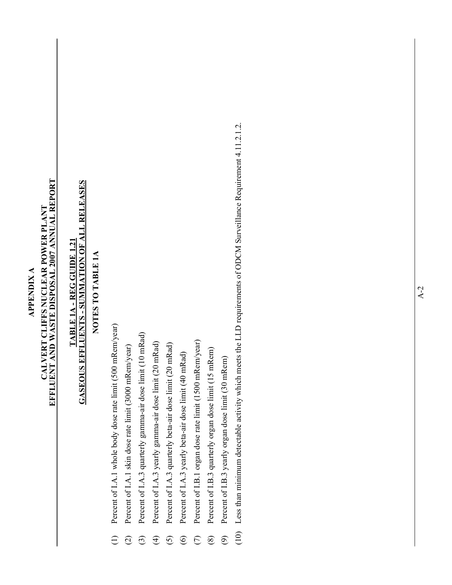## **EFFLUENT AND WASTE DISPOSAL 2007 ANNUAL REPORT**  CALVERT CLIFFS NUCLEAR POWER PLANT<br>EFFLUENT AND WASTE DISPOSAL 2007 ANNUAL REPORT **CALVERT CLIFFS NUCLEAR POWER PLANT APPENDIX A APPENDIX A**

## **GASEOUS EFFLUENTS - SUMMATION OF ALL RELEASES GASEOUS EFFLUENTS - SUMMATION OF ALL RELEASES** TABLE 1A - REG GUIDE 1.21 **TABLE 1A - REG GUIDE 1.21**

### **NOTES TO TABLE 1A**  NOTES TO TABLE 1A

- (1) Percent of I.A.1 whole body dose rate limit (500 mRem/year) Percent of I.A.1 whole body dose rate limit (500 mRem/year)  $\widehat{\cup}$
- (2) Percent of I.A.1 skin dose rate limit (3000 mRem/year) Percent of I.A.1 skin dose rate limit (3000 mRem/year)  $\widehat{c}$
- (3) Percent of I.A.3 quarterly gamma-air dose limit (10 mRad) Percent of I.A.3 quarterly gamma-air dose limit (10 mRad)  $\odot$
- (4) Percent of I.A.3 yearly gamma-air dose limit (20 mRad) Percent of I.A.3 yearly gamma-air dose limit (20 mRad)  $\bigoplus$
- (5) Percent of I.A.3 quarterly beta-air dose limit (20 mRad) Percent of I.A.3 quarterly beta-air dose limit (20 mRad)  $\overline{6}$
- Percent of I.A.3 yearly beta-air dose limit (40 mRad) (6) Percent of I.A.3 yearly beta-air dose limit  $(40 \text{ mRad})$  $\odot$
- (7) Percent of I.B.1 organ dose rate limit (1500 mRem/year) Percent of I.B.1 organ dose rate limit (1500 mRem/year)  $\mathfrak{S}$
- Percent of I.B.3 quarterly organ dose limit (15 mRem) (8) Percent of I.B.3 quarterly organ dose limit (15 mRem)  $\circledS$
- (9) Percent of I.B.3 yearly organ dose limit (30 mRem) Percent of I.B.3 yearly organ dose limit (30 mRem)  $\odot$
- (10) Less than minimum detectable activity which meets the LLD requirements of ODCM Surveillance Requirement 4.11.2.1.2. Less than minimum detectable activity which meets the LLD requirements of ODCM Surveillance Requirement 4.11.2.1.2.  $(10)$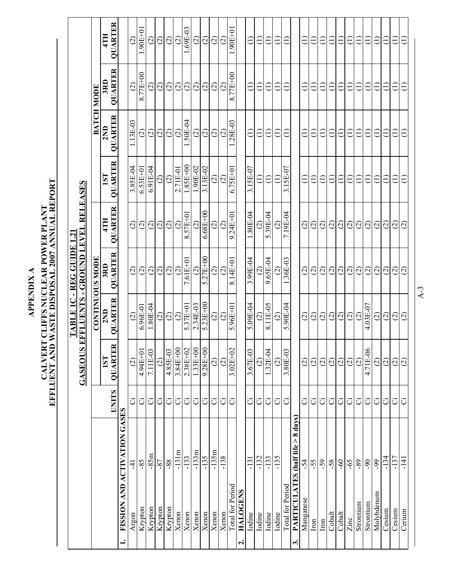|                                                 |              | GASEOUS                           |                        | EFFLUENTS - GROUND LEVEL RELEASES<br>TABLE 1C - REG GUIDE 1.21 |                         |                    |                    |                   |                                   |
|-------------------------------------------------|--------------|-----------------------------------|------------------------|----------------------------------------------------------------|-------------------------|--------------------|--------------------|-------------------|-----------------------------------|
|                                                 |              |                                   |                        | <b>CONTINUOUS MODE</b>                                         |                         |                    |                    | <b>BATCH MODE</b> |                                   |
|                                                 | <b>UNITS</b> | $\approx$<br><b>QUARTE</b><br>1ST | QUARTER<br>2ND         | QUARTER<br>3RD                                                 | QUARTER<br>4TH          | QUARTER<br>1ST     | QUARTER<br>2ND     | QUARTER<br>3RD    | QUARTER<br>4TH                    |
| FISSION AND ACTIVATION GASES<br>$\div$          |              |                                   |                        |                                                                |                         |                    |                    |                   |                                   |
| 4<br>Argon                                      | ö            | $\widehat{c}$                     | $\widehat{c}$          | $\odot$                                                        | $\odot$                 | 3.85E-04           | 1.13E-03           | $\odot$           | $\widehat{c}$                     |
| $-85$<br>Krypton                                | ö            | 4.94E+01                          | $6.96E-01$             | $\widehat{\varpropto}$                                         | $\widehat{\infty}$      | $6.53E + 01$       | $\widehat{\circ}$  | 8.77E+00          | $.90E+01$                         |
| $-85m$<br>Krypton                               | ö            | 7.11E-03                          | 1.80E-04               | $\widehat{\varpi}$                                             | $\widehat{\omega}$      | $6.91E-04$         | $\widehat{\infty}$ | $\widehat{\circ}$ | $\widehat{\circ}$                 |
| $-87$<br>Krypton                                | ö            | $\widehat{c}$                     | $\widehat{\odot}$      | $\widehat{\circ}$                                              | $\widehat{\circ}$       | $\widehat{\odot}$  | $\widehat{\circ}$  | $\odot$           | $\widehat{\circ}$                 |
| $-88-$<br>Krypton                               | ö            | 4.85E-03                          | $\odot$                | $\odot$                                                        | $\odot$                 | $\odot$            | $\widehat{\circ}$  | $\odot$           | $\odot$                           |
| $-131m$<br>Xenon                                | ö            | 3.84E+00                          | $\widehat{\omega}$     | $\widehat{\varpi}$                                             | $\widetilde{\omega}$    | 2.71E-01           | $\widehat{\omega}$ | (2)               | $\widehat{\varrho}$               |
| $-133$<br>Xenon                                 | ö            | 2.38E+02                          | $5.37E+0$              | 7.61E+01                                                       | 8.57E+01                | $1.85E + 00$       | .50E-04            | $\widetilde{c}$   | .69E-03                           |
| $-133m$<br>Xenon                                | ö            | $1.33E+00$                        | 2.34E-03               | $\widehat{\circ}$                                              | $\widetilde{\varrho}$   | $.90E-02$          | $\odot$            | $\odot$           | $\widehat{\mathcal{C}}$           |
| $-135$<br>Xenon                                 | ö            | 9.28E+00                          | $5.23E + 00$           | $5.27E+00$                                                     | $6.68E + 00$            | 3.13E-02           | $\odot$            |                   | $\odot$                           |
| $-135m$<br>Xenon                                | ö            | $\odot$                           | $\widehat{\infty}$     | $\odot$                                                        | $\odot$                 | $\widehat{\infty}$ | $\odot$            | $\odot$           | $\widehat{\infty}$                |
| $-138$<br>Xenon                                 | ö            | $\odot$                           | $\odot$                | $\odot$                                                        | $\widehat{\Omega}$      | $\overline{c}$     | $\widehat{\infty}$ | $\odot$           | $\widehat{\varrho}$               |
| Total for Period                                | ö            | $3.02E + 02$                      | $5.96E + 0$            | 8.14E+01                                                       | $9.24E + 01$            | $6.75E + 0$        | $.28E - 03$        | 8.77E+00          | $1.90E+01$                        |
| <b>HALOGENS</b><br>$\mathbf{a}$                 |              |                                   |                        |                                                                |                         |                    |                    |                   |                                   |
| $-131$<br>Iodine                                | ت            | 3.67E-03                          | $5.09E-04$             | 3.99E-04                                                       | 1.80E-04                | 3.15E-07           | $\equiv$           | Ξ                 | Ξ                                 |
| $-132$<br>Iodine                                | ö            | $\widehat{\Omega}$                | $\widehat{\varrho}$    | $\widehat{\varrho}$                                            | $\widetilde{\omega}$    |                    |                    |                   | Ē                                 |
| $-133$<br>Iodine                                | ö            | 1.32E-04                          | 8.11E-05               | 9.65E-04                                                       | 5.39E-04                | €                  |                    |                   | ∈                                 |
| $-135$<br>Iodine                                | ö            | $\widehat{\Omega}$                | $\widehat{\Omega}$     | $\widehat{\Omega}$                                             | $\widetilde{\Omega}$    | €                  | €                  |                   | ∈                                 |
| Total for Period                                | ö            | 3.80E-03                          | 5.90E-04               | .36E-03                                                        | 7.19E-04                | 3.15E-07           |                    | €                 | $\widetilde{\mathord{\sqsubset}}$ |
| PARTICULATES (half life > 8 days)<br>$\ddot{ }$ |              |                                   |                        |                                                                |                         |                    |                    |                   |                                   |
| $-54$<br>Manganese                              | ö            | $\widehat{\omega}$                | $\widehat{\omega}$     | $\widehat{\varpi}$                                             | $\widehat{\circ}$       | €                  |                    | €                 | ∈                                 |
| $-55$<br>$\mathop{\rm Iron}$                    | ö            | $\widehat{\Omega}$                | $\widehat{\infty}$     | $\widehat{\varpropto}$                                         | $\widehat{\infty}$      | €                  | ∈                  | €                 | Ξ                                 |
| $ 8^{1}$<br>$\mathop{\rm Iron}$                 | ö            | $\widehat{\omega}$                | $\odot$                | $\odot$                                                        | $\widehat{\omega}$      | ∈                  | Ξ                  | $\widehat{\Xi}$   | Ξ                                 |
| $-58$<br>Cobalt                                 | ö            | $\widehat{\omega}$                | $\odot$                | $\odot$                                                        | $\widehat{\Omega}$      | Ξ                  | Э                  | $\widehat{\Xi}$   | Ξ                                 |
| $-60$<br>Cobalt                                 | Ö            | $\widehat{c}$                     | $\odot$                | $\odot$                                                        | $\widehat{\circ}$       | Ξ                  | €                  | $\widehat{\Xi}$   | Ξ                                 |
| $-65$<br>Zinc                                   | Ö            | $\widehat{\omega}$                | $\widehat{\varrho}$    | $\widehat{\varrho}$                                            | $\widehat{\mathcal{C}}$ | Ξ                  | Ξ                  | Ξ                 | Ξ                                 |
| $68-$<br>Strontium                              | ö            | $\widehat{c}$                     | $\odot$                | $\widehat{\varrho}$                                            | $\widehat{\varrho}$     | Ξ                  | Ξ                  | Ξ                 | Ξ                                 |
| $-90$<br>Strontium                              | ö            | 4.71E-06                          | $4.03E-07$             | $\odot$                                                        | $\widehat{\varpropto}$  | Ξ                  | Ξ                  | Ξ                 | Ξ                                 |
| $-99$<br>Molybdenum                             | Ö            | $\odot$                           | $\odot$                | $\widehat{\omega}$                                             | $\widehat{\varrho}$     | Ξ                  | Ξ                  | €                 | Ê                                 |
| $-134$<br>Cesium                                | ö            | $\widehat{\varrho}$               | $\widehat{\varpropto}$ | $\widehat{\varrho}$                                            | $\widehat{\varrho}$     | Ξ                  | Ξ                  |                   | ∈                                 |
| $-137$<br>$C$ esium                             | ö            | $\widehat{\circ}$                 | $\odot$                | $\odot$                                                        | $\widetilde{\omega}$    | Ξ                  | Ξ                  |                   | ∈                                 |
| $-141$<br>Cerium                                | ö            | $\widehat{\Omega}$                | $\widetilde{\omega}$   | $\widetilde{G}$                                                | $\widetilde{G}$         | Ê                  |                    |                   | Ë                                 |

A-3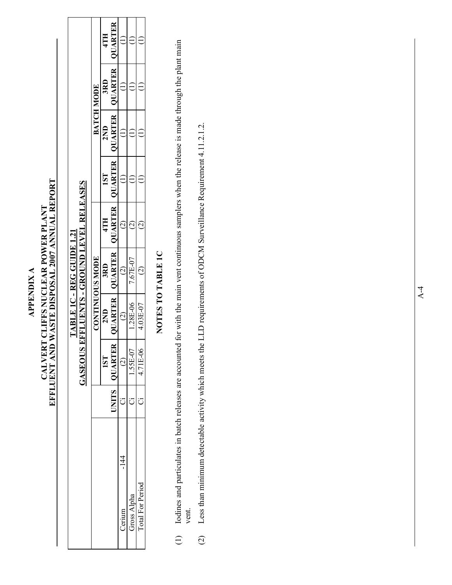## CALVERT CLIFFS NUCLEAR POWER PLANT<br>EFFLUENT AND WASTE DISPOSAL 2007 ANNUAL REPORT **CALVERT CLIFFS NUCLEAR POWER PLANT APPENDIX A APPENDIX A**

**EFFLUENT AND WASTE DISPOSAL 2007 ANNUAL REPORT** 

|                                  |                                   |                        | 4TH |                             |                         |             |                         |        |  |         |          |
|----------------------------------|-----------------------------------|------------------------|-----|-----------------------------|-------------------------|-------------|-------------------------|--------|--|---------|----------|
|                                  |                                   |                        | 3RD | QUARTER   QUARTER           |                         |             |                         |        |  |         |          |
|                                  |                                   | <b>BATCH MODE</b>      | 2ND | QUARTER                     |                         |             |                         |        |  |         |          |
|                                  |                                   |                        |     | 1ST                         |                         |             |                         |        |  |         |          |
| <b>FABLE 1C - REG GUIDE 1.21</b> | EFFLUENTS - GROUND LEVEL RELEASES |                        | 4TH | QUARTER   QUARTER   QUARTER | $\widetilde{\epsilon}$  |             |                         |        |  |         |          |
|                                  |                                   | <b>CONTINUOUS MODE</b> | 3RD |                             | $\widehat{c}$           | 7.67E-07    |                         |        |  |         |          |
|                                  |                                   |                        | 2ND | QUARTER                     | $\widehat{\mathbb{C}}$  | 1.28E-06    | 4.03E-07                |        |  |         |          |
|                                  | GASEOUS                           |                        |     |                             |                         |             | 1ST                     | QUARTE |  | .55E-07 | 1.71E-06 |
|                                  |                                   |                        |     | JNITS                       |                         |             |                         |        |  |         |          |
|                                  |                                   |                        |     |                             | $\frac{4}{1}$<br>Cerium | Gross Alpha | <b>Total For Period</b> |        |  |         |          |
|                                  |                                   |                        |     |                             |                         |             |                         |        |  |         |          |

### **NOTES TO TABLE 1C**  NOTES TO TABLE 1C

- Iodines and particulates in batch releases are accounted for with the main vent continuous samplers when the release is made through the plant main (1) Iodines and particulates in batch releases are accounted for with the main vent continuous samplers when the release is made through the plant main vent.  $\begin{array}{c} \square \end{array}$
- (2) Less than minimum detectable activity which meets the LLD requirements of ODCM Surveillance Requirement 4.11.2.1.2. Less than minimum detectable activity which meets the LLD requirements of ODCM Surveillance Requirement 4.11.2.1.2.  $\overline{c}$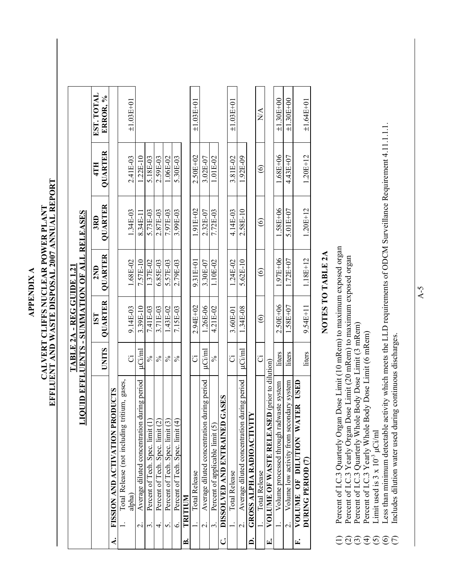**APPENDIX A APPENDIX A** 

## **EFFLUENT AND WASTE DISPOSAL 2007 ANNUAL REPORT**  EFFLUENT AND WASTE DISPOSAL 2007 ANNUAL REPORT CALVERT CLIFFS NUCLEAR POWER PLANT **CALVERT CLIFFS NUCLEAR POWER PLANT**

| DOL                                                                    |               |                | <b>ID EFFLUENTS - SUMMATION OF ALL RELEASES</b> |                   |                   |                        |
|------------------------------------------------------------------------|---------------|----------------|-------------------------------------------------|-------------------|-------------------|------------------------|
|                                                                        | <b>UNITS</b>  | QUARTER<br>1ST | <b>QUARTER</b><br>2ND                           | QUARTER<br>3RD    | QUARTER<br>4TH    | EST. TOTAL<br>ERROR, % |
| ICTS<br>FISSION AND ACTIVATION PRODU<br>∢                              |               |                |                                                 |                   |                   |                        |
| Total Release (not including tritium, gases,                           |               |                |                                                 |                   |                   |                        |
| alpha)                                                                 | Ö             | 9.14E-03       | 1.68E-02                                        | 1.34E-03          | 2.41E-03          | $±1.03E+01$            |
| Average diluted concentration during period<br>$\overline{\mathsf{N}}$ | µCi/ml        | 3.39E-10       | 7.57E-10                                        | 8.34E-11          | $1.22E-10$        |                        |
| Percent of Tech. Spec. limit (1)<br>بب                                 | $\approx$     | 7.41E-03       | 1.37E-02                                        | 5.73E-03          | 5.18E-03          |                        |
| Percent of Tech. Spec. limit (2)<br>4                                  | $\frac{5}{6}$ | 3.71E-03       | 6.85E-03                                        | 2.87E-03          | 2.59E-03          |                        |
| Percent of Tech. Spec. limit (3)<br>n                                  | $\frac{5}{6}$ | 1.43E-02       | 5.57E-03                                        | 7.97E-03          | 1.06E-02          |                        |
| Percent of Tech. Spec. limit (4)<br>$\circ$                            | $\frac{5}{6}$ | 7.15E-03       | 2.79E-03                                        | 3.99E-03          | 5.30E-03          |                        |
| TRITIUM<br>≃                                                           |               |                |                                                 |                   |                   |                        |
| <b>Total Release</b>                                                   | Ö             | $2.94E + 02$   | $9.31E + 01$                                    | $1.91E + 02$      | 2.50E+02          | $\pm 1.03E + 01$       |
| Average diluted concentration during period<br>$\dot{\mathcal{C}}$     | uCi/ml        | 1.26E-06       | 3.30E-07                                        | 2.32E-07          | 3.02E-07          |                        |
| Percent of applicable limit (5)<br>$\dot{3}$                           | $\frac{5}{6}$ | 4.21E-02       | 1.10E-02                                        | 7.72E-03          | 1.01E-02          |                        |
| DISSOLVED AND ENTRAINED GASES<br>ن                                     |               |                |                                                 |                   |                   |                        |
| Total Release                                                          | Ö             | 3.60E-01       | 1.24E-02                                        | 4.14E-03          | 3.81E-02          | $\pm 1.03E + 01$       |
| Average diluted concentration during period<br>$\sim$                  | µCi∕ml        | 1.34E-08       | 5.62E-10                                        | 2.58E-10          | 1.92E-09          |                        |
| <b>GROSS ALPHA RADIOACTIVITY</b><br>Ä                                  |               |                |                                                 |                   |                   |                        |
| <b>Total Release</b>                                                   | ö             | $\circledcirc$ | $\widehat{\circ}$                               | $\widehat{\circ}$ | $\widehat{\circ}$ | $\sum_{i=1}^{n}$       |
| VOLUME OF WASTE RELEASED (prior to dilution)<br>rį                     |               |                |                                                 |                   |                   |                        |
| system<br>Volume processed through radwaste                            | liters        | $2.50E + 06$   | 1.97E+06                                        | 1.58E+06          | $0.68E + 06$      | $±1.30E+00$            |
| Volume low activity from secondary system<br>$\overline{c}$            | liters        | 1.58E+07       | $1.72E + 07$                                    | $5.01E + 07$      | 4.43E+07          | $±1.30E+00$            |
| USED<br>VOLUME OF DILUTION WATER<br>E.                                 |               |                |                                                 |                   |                   |                        |
| DURING PERIOD (7)                                                      | liters        | $9.54E + 11$   | 1.18E+12                                        | $1.20E + 12$      | $1.20E + 12$      | $±1.64E+01$            |

### **NOTES TO TABLE 2A**  NOTES TO TABLE 2A

- Percent of I.C.3 Quarterly Organ Dose Limit (10 mRem) to maximum exposed organ<br>Percent of I.C.3 Yearly Organ Dose Limit (20 mRem) to maximum exposed organ<br>Percent of I.C.3 Quarterly Whole Body Dose Limit (3 mRem) (1) Percent of I.C.3 Quarterly Organ Dose Limit (10 mRem) to maximum exposed organ
	- (2) Percent of I.C.3 Yearly Organ Dose Limit (20 mRem) to maximum exposed organ
		- (3) Percent of I.C.3 Quarterly Whole Body Dose Limit (3 mRem)
			- Percent of I.C.3 Yearly Whole Body Dose Limit (6 mRem) (4) Percent of I.C.3 Yearly Whole Body Dose Limit (6 mRem) Limit used is  $3 \times 10^{-3}$   $\mu$ Ci/ml (5) Limit used is  $3 \times 10^{-3}$   $\mu$ Ci/ml
- (6) Less than minimum detectable activity which meets the LLD requirements of ODCM Surveillance Requirement 4.11.1.1.1. Less than minimum detectable activity which meets the LLD requirements of ODCM Surveillance Requirement 4.11.1.1.1. **EQEESEE** 
	- (7) Includes dilution water used during continuous discharges. Includes dilution water used during continuous discharges.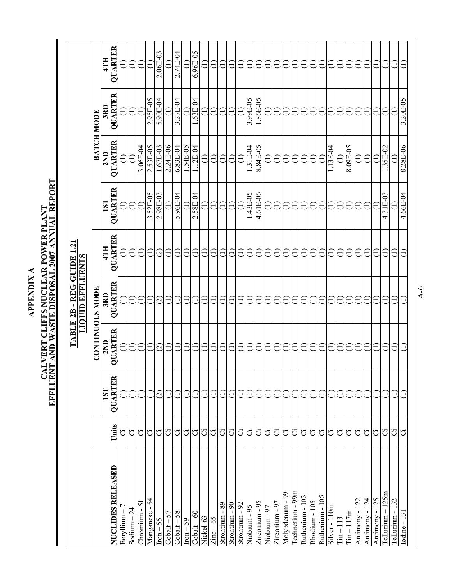CALVERT CLIFFS NUCLEAR POWER PLANT<br>EFFLUENT AND WASTE DISPOSAL 2007 ANNUAL REPORT **CALVERT CLIFFS NUCLEAR POWER PLANT APPENDIX A APPENDIX A** 

**EFFLUENT AND WASTE DISPOSAL 2007 ANNUAL REPORT** 

|                      |       |                               | TABLE 2B                 | -REG GUIDE               | أب                       |                          |                   |                 |                               |
|----------------------|-------|-------------------------------|--------------------------|--------------------------|--------------------------|--------------------------|-------------------|-----------------|-------------------------------|
|                      |       |                               |                          | <b>LIQUID EFFLUENTS</b>  |                          |                          |                   |                 |                               |
|                      |       |                               | <b>CONTINUOUS MODE</b>   |                          |                          |                          | <b>BATCH MODE</b> |                 |                               |
| NUCLIDES RELEASED    | Units | <b>OUARTER</b><br>1ST         | QUARTER<br>2ND           | QUARTER<br>3RD           | QUARTER<br>4TH           | <b>OUARTER</b><br>1ST    | QUARTER<br>2ND    | QUARTER<br>3RD  | QUARTER<br>4TH                |
| $Beryllium-7$        | ö     | €                             | $\widehat{\Xi}$          | $\widehat{\Xi}$          | $\widehat{\equiv}$       | $\widehat{\Xi}$          | $\widehat{\Xi}$   | $\widehat{\Xi}$ | €                             |
| Sodium $-24$         | Ö     | Ξ                             | $\widehat{\Xi}$          | $\widehat{\Xi}$          | $\widehat{\Xi}$          | $\widehat{\Xi}$          | $\widehat{\Xi}$   | $\widehat{\Xi}$ | ∈                             |
| $Chromium - 51$      | ö     | Ξ                             | $\widehat{\Xi}$          | Ξ                        | $\widehat{\Xi}$          | $\widehat{\Xi}$          | 3.06E-04          | $\widehat{=}$   | €                             |
| Manganese - 54       | ö     | €                             | $\widehat{\Xi}$          | Ξ                        | $\widehat{\Xi}$          | 3.52E-05                 | 2.53E-05          | 2.95E-05        | €                             |
| $\text{ron} - 55$    | ö     | $\widehat{\varpropto}$        | $\widehat{\varpi}$       | $\widehat{\varpropto}$   | $\widehat{\infty}$       | 2.98E-03                 | 1.67E-03          | 5.90E-04        | $2.06E-03$                    |
| $\text{Cobalt} - 57$ | ö     | Ξ                             | Ξ                        | Ξ                        | Ξ                        | $\widehat{\Xi}$          | 2.24E-06          | $\widehat{\Xi}$ | Ξ                             |
| $\text{Obalt} - 58$  | Ö     | €                             | €                        | Ξ                        | Ξ                        | 5.96E-04                 | 6.83E-04          | 3.27E-04        | 2.74E-04                      |
| $\text{ron} - 59$    | ö     | €                             | €                        | Ξ                        | €                        |                          | 1.54E-05          |                 |                               |
| $\text{Cobalt} - 60$ | ö     | Ξ                             | Ξ                        | €                        | Ξ                        | 2.58E-04                 | 1.12E-04          | 1.63E-04        | $6.96E-05$                    |
| Nickel-63            | ö     |                               | Ê                        | Ë                        |                          | Ξ                        | Ξ                 |                 | Ξ                             |
| $Zinc - 65$          | ö     |                               | Ξ                        | $\equiv$                 | Ξ                        | Ξ                        | Ξ                 |                 | €                             |
| 89<br>Strontium      | ö     |                               | L                        |                          | Ē                        |                          |                   |                 |                               |
| Strontium - 90       | ö     | Ξ                             | Ê                        | Ë                        | Έ                        | ∈                        | ∈                 | Ë               | Ξ                             |
| Strontium - 92       | Ö     | Ξ                             | Ê                        | Ξ                        | ٣                        |                          |                   |                 | Ë                             |
| $-95$<br>Niobium     | ö     | Ê                             | $\equiv$                 | $\equiv$                 | Έ                        | .43E-05                  | .31E-04           | 3.99E-05        | Ë                             |
| Zirconium - 95       | ö     | $\equiv$                      | $\overline{\phantom{0}}$ | こ                        | $\overline{\phantom{0}}$ | 4.61E-06                 | 8.84E-05          | 1.86E-05        | $\overline{\phantom{0}}$      |
| Niobium - 97         | ö     |                               | Ξ                        | $\overline{\phantom{0}}$ | H                        |                          |                   |                 | J                             |
| Zirconium - 97       | ö     |                               |                          |                          |                          |                          |                   |                 |                               |
| Molybdenum - 99      | ö     | $\overleftarrow{\phantom{a}}$ | €                        |                          | Ξ                        | $\overline{\phantom{0}}$ |                   |                 |                               |
| Technetium - 99m     | ö     |                               | Ê                        | Ë                        | Ξ                        | E                        | E                 |                 | Ξ                             |
| Ruthenium - 103      | ö     | Ξ                             | Ε                        | Ë                        | Ξ                        | Ξ                        | Ê                 |                 | €                             |
| Rhodium - 105        | Ö     | Ξ                             | €                        | Ê                        | Ξ                        | Ξ                        | €                 |                 | $\overleftarrow{\phantom{a}}$ |
| Ruthenium - 105      | ö     | Ξ                             | €                        | Ê                        | Ξ                        | Ξ                        | Ξ                 |                 | E                             |
| Silver-110m          | ö     |                               | Ξ                        | Ë                        | Ξ                        |                          | 13E-04            |                 | É                             |
| $Tin-113$            | ö     | €                             | €                        | Ê                        | Ξ                        | Ξ                        | €                 | €               | €                             |
| $T_{1n} - 117m$      | Ö     | €                             | $\widehat{\Xi}$          | Ξ                        | Ξ                        | €                        | 8.09E-05          | €               | €                             |
| Antimony - 122       | ö     | Ξ                             | $\ominus$                | Ξ                        | Ξ                        | Ξ                        | $\widehat{\Xi}$   | €               | €                             |
| Antimony - 124       | ö     | Ξ                             | $\widehat{\Xi}$          | Ξ                        | €                        | €                        | $\widehat{\Xi}$   | Ξ               | ∈                             |
| Antimony - 125       | Ö     | Ξ                             | Ξ                        | Ξ                        | Ξ                        | Ξ                        | $\widehat{\Xi}$   | Ξ               | ∈                             |
| Fellurium - 125m     | ö     | €                             | Ê                        | ∈                        | €                        | 4.31E-03                 | $1.35E-02$        | Ë               | €                             |
| Tellurium - 132      | ö     | ∈                             | ∈                        | Ξ                        | €                        | Ξ                        | Ξ                 |                 | Ë                             |
| <b>Iodine</b> - 131  | ö     | €                             | €                        | ∈                        | €                        | 4.66E-04                 | 8.28E-06          | 3.20E-05        |                               |

A-6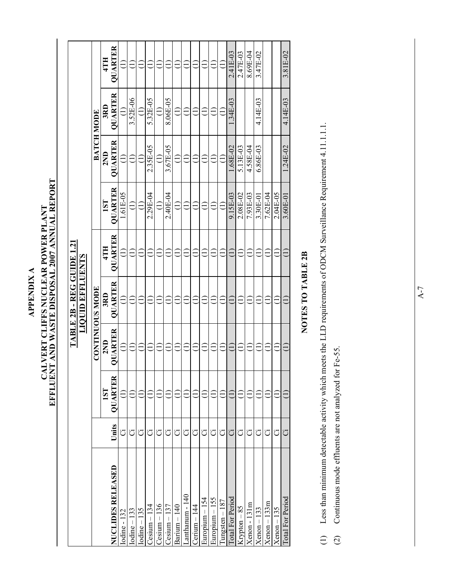CALVERT CLIFFS NUCLEAR POWER PLANT<br>EFFLUENT AND WASTE DISPOSAL 2007 ANNUAL REPORT **CALVERT CLIFFS NUCLEAR POWER PLANT APPENDIX A APPENDIX A** 

**EFFLUENT AND WASTE DISPOSAL 2007 ANNUAL REPORT** 

|                          |       |                               |         | TABLE 2B - REG GUIDE 1.21<br><b>LIQUID EFFLUENTS</b> |         |                |                   |          |                |
|--------------------------|-------|-------------------------------|---------|------------------------------------------------------|---------|----------------|-------------------|----------|----------------|
|                          |       |                               |         | <b>CONTINUOUS MODE</b>                               |         |                | <b>BATCH MODE</b> |          |                |
|                          |       | 1ST                           | 2ND     | 3RD                                                  | 4TH     | 1ST            | 2ND               | 3RD      | 4TH            |
| <b>NUCLIDES RELEASED</b> | Units | <b>OUARTER</b>                | QUARTER | <b>QUARTER</b>                                       | QUARTER | <b>QUARTER</b> | QUARTER           | QUARTER  | <b>QUARTER</b> |
| odine - 132              | ö     | Ξ                             | Ξ       | ∈                                                    | Ξ       | 1.61E-05       |                   | €        |                |
| $odine-133$              | ö     |                               |         |                                                      |         |                |                   | 3.52E-06 |                |
| $Iodine - 135$           | ö     |                               |         |                                                      |         |                |                   |          |                |
| $\epsilon$ sium – 134    | Ö     |                               |         |                                                      |         | 2.29E-04       | 2.35E-05          | 5.32E-05 |                |
| $Cesium - 136$           | ö     |                               |         |                                                      |         |                | Ξ                 | Ξ        |                |
| $C$ esium $-137$         | Ö     |                               |         |                                                      |         | 2.40E-04       | 3.67E-05          | 8.06E-05 |                |
| $Barium - 140$           | ö     |                               | €       |                                                      |         |                |                   |          |                |
| anthanum - 140           | Ö     |                               |         |                                                      |         |                |                   |          |                |
| $Cerium - 144$           | ö     |                               |         | Ξ                                                    | €       |                |                   |          |                |
| Europium - 154           | Ö     |                               |         |                                                      |         |                |                   |          |                |
| Europium - 155           | ö     |                               |         | Ξ                                                    |         |                |                   | Ξ        |                |
| $Tungsten - 187$         | ö     |                               |         | Ξ                                                    |         |                |                   | Ξ        |                |
| <b>Total For Period</b>  | Ö     | $\overleftarrow{\phantom{a}}$ | Ξ       | €                                                    | Ë       | 9.15E-03       | 1.68E-02          | 1.34E-03 | 2.41E-03       |
| Krypton-85               | Ö     |                               |         |                                                      |         | 2.08E-02       | 5.13E-03          |          | 2.47E-03       |
| $Xenon - 131m$           | ö     |                               |         |                                                      |         | 7.93E-03       | 4.58E-04          |          | 8.69E-04       |
| $Xenon - 133$            | Ö     |                               |         |                                                      |         | 3.30E-01       | 6.86E-03          | 4.14E-03 | 3.47E-02       |
| $Xenon - 133m$           | ö     |                               |         |                                                      |         | $7.62E-04$     |                   |          |                |
| $Xenon - 135$            | Ö     |                               |         |                                                      |         | 2.04E-05       |                   |          |                |
| Total For Period         | ö     | Ξ                             | Ξ       | Ξ                                                    | ê       | $3.60E-01$     | 1.24E-02          | 4.14E-03 | 3.81E-02       |
|                          |       |                               |         |                                                      |         |                |                   |          |                |

### NOTES TO TABLE 2B **NOTES TO TABLE 2B**

- (1) Less than minimum detectable activity which meets the LLD requirements of ODCM Surveillance Requirement 4.11.1.1.1. Less than minimum detectable activity which meets the LLD requirements of ODCM Surveillance Requirement 4.11.1.1.1.  $\begin{array}{c} \square \end{array}$
- Continuous mode effluents are not analyzed for Fe-55. (2) Continuous mode effluents are not analyzed for Fe-55.  $\begin{array}{c} \n\odot \n\end{array}$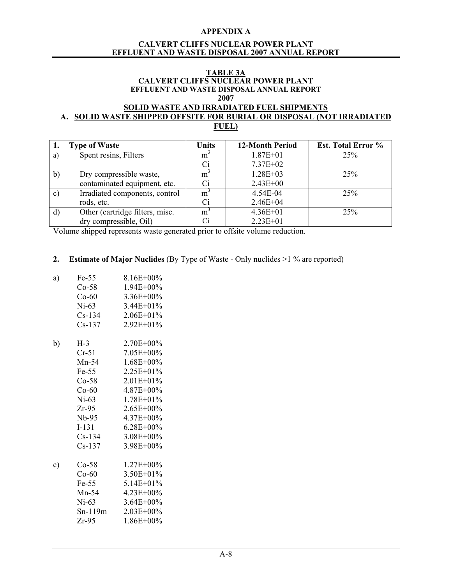### **APPENDIX A**

### **CALVERT CLIFFS NUCLEAR POWER PLANT EFFLUENT AND WASTE DISPOSAL 2007 ANNUAL REPORT**

### **TABLE 3A CALVERT CLIFFS NUCLEAR POWER PLANT EFFLUENT AND WASTE DISPOSAL ANNUAL REPORT 2007**

### **SOLID WASTE AND IRRADIATED FUEL SHIPMENTS A. SOLID WASTE SHIPPED OFFSITE FOR BURIAL OR DISPOSAL (NOT IRRADIATED FUEL)**

| ı.           | <b>Type of Waste</b>            | Units          | <b>12-Month Period</b> | <b>Est. Total Error %</b> |
|--------------|---------------------------------|----------------|------------------------|---------------------------|
| a)           | Spent resins, Filters           | $m^3$          | $1.87E + 01$           | 25%                       |
|              |                                 | Ci             | $7.37E + 02$           |                           |
| $\mathbf{b}$ | Dry compressible waste,         | m <sup>3</sup> | $1.28E + 03$           | 25%                       |
|              | contaminated equipment, etc.    | Сi             | $2.43E + 00$           |                           |
| c)           | Irradiated components, control  | m <sup>3</sup> | 4.54E-04               | 25%                       |
|              | rods, etc.                      | Ci             | $2.46E + 04$           |                           |
| $\mathbf{d}$ | Other (cartridge filters, misc. | m <sup>3</sup> | $4.36E + 01$           | 25%                       |
|              | dry compressible, Oil)          | Ci             | $2.23E + 01$           |                           |

Volume shipped represents waste generated prior to offsite volume reduction.

### **2. Estimate of Major Nuclides** (By Type of Waste - Only nuclides >1 % are reported)

a) Fe-55 8.16E+00% Co-58 1.94E+00% Co-60 3.36E+00% Ni-63 3.44E+01\% Cs-134 2.06E+01% Cs-137 2.92E+01% b)  $H-3$  2.70E+00% Cr-51 7.05E+00% Mn-54 1.68E+00% Fe-55 2.25E+01% Co-58 2.01E+01% Co-60 4.87E+00% Ni-63 1.78E+01\% Zr-95 2.65E+00% Nb-95 4.37E+00% I-131 6.28E+00% Cs-134 3.08E+00% Cs-137 3.98E+00% c) Co-58 1.27E+00% Co-60 3.50E+01% Fe-55  $5.14E+01\%$  Mn-54 4.23E+00% Ni-63 3.64E+00% Sn-119m 2.03E+00% Zr-95 1.86E+00%